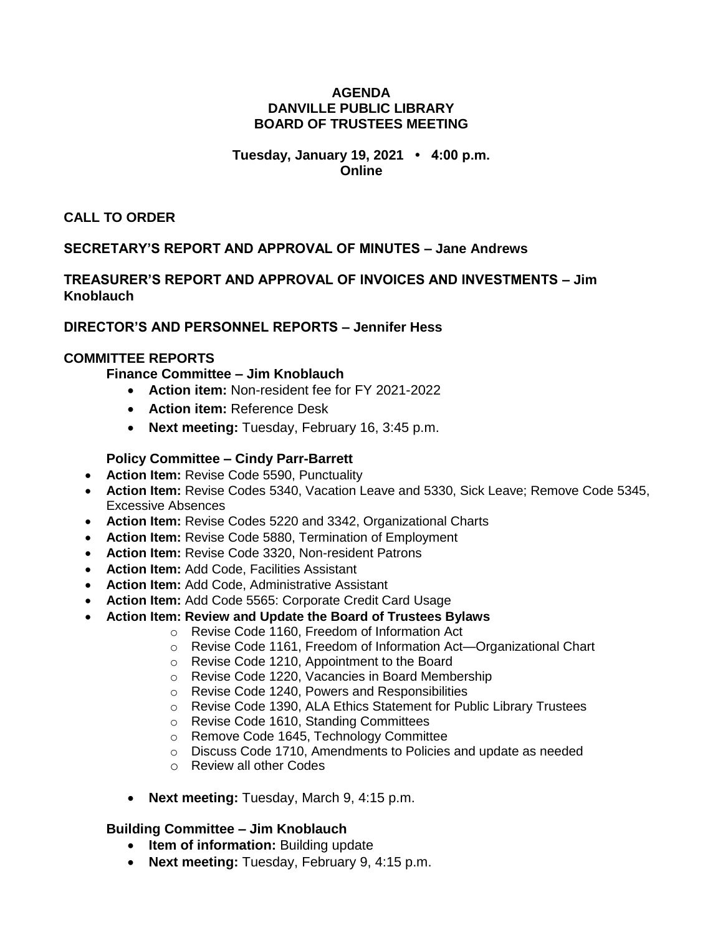### **AGENDA DANVILLE PUBLIC LIBRARY BOARD OF TRUSTEES MEETING**

### **Tuesday, January 19, 2021 • 4:00 p.m. Online**

**CALL TO ORDER**

# **SECRETARY'S REPORT AND APPROVAL OF MINUTES – Jane Andrews**

**TREASURER'S REPORT AND APPROVAL OF INVOICES AND INVESTMENTS – Jim Knoblauch**

## **DIRECTOR'S AND PERSONNEL REPORTS – Jennifer Hess**

### **COMMITTEE REPORTS**

**Finance Committee – Jim Knoblauch**

- **Action item:** Non-resident fee for FY 2021-2022
- **Action item:** Reference Desk
- **Next meeting:** Tuesday, February 16, 3:45 p.m.

### **Policy Committee – Cindy Parr-Barrett**

- **Action Item:** Revise Code 5590, Punctuality
- **Action Item:** Revise Codes 5340, Vacation Leave and 5330, Sick Leave; Remove Code 5345, Excessive Absences
- **Action Item:** Revise Codes 5220 and 3342, Organizational Charts
- **Action Item:** Revise Code 5880, Termination of Employment
- **Action Item:** Revise Code 3320, Non-resident Patrons
- **Action Item:** Add Code, Facilities Assistant
- **Action Item:** Add Code, Administrative Assistant
- **Action Item:** Add Code 5565: Corporate Credit Card Usage
- **Action Item: Review and Update the Board of Trustees Bylaws**
	- o Revise Code 1160, Freedom of Information Act
	- o Revise Code 1161, Freedom of Information Act—Organizational Chart
	- o Revise Code 1210, Appointment to the Board
	- o Revise Code 1220, Vacancies in Board Membership
	- o Revise Code 1240, Powers and Responsibilities
	- o Revise Code 1390, ALA Ethics Statement for Public Library Trustees
	- o Revise Code 1610, Standing Committees
	- o Remove Code 1645, Technology Committee
	- o Discuss Code 1710, Amendments to Policies and update as needed
	- o Review all other Codes
	- **Next meeting:** Tuesday, March 9, 4:15 p.m.

## **Building Committee – Jim Knoblauch**

- **•** Item of information: Building update
- **Next meeting:** Tuesday, February 9, 4:15 p.m.